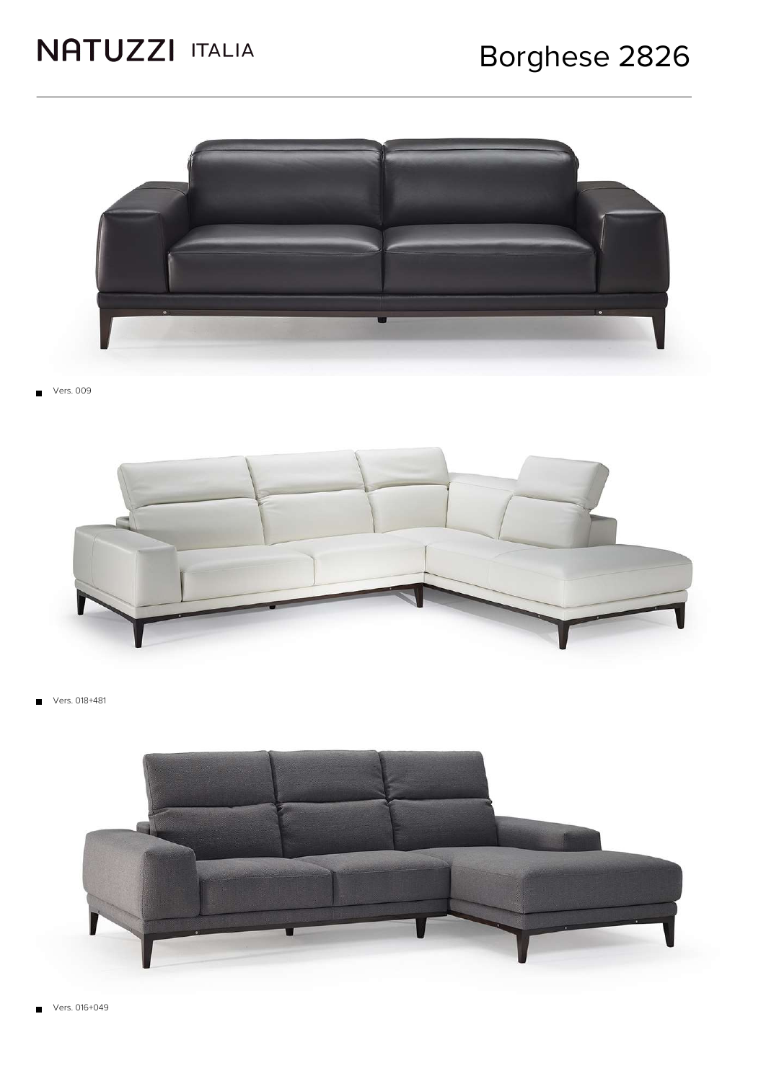

Vers. 009



Vers. 018+481  $\blacksquare$ 

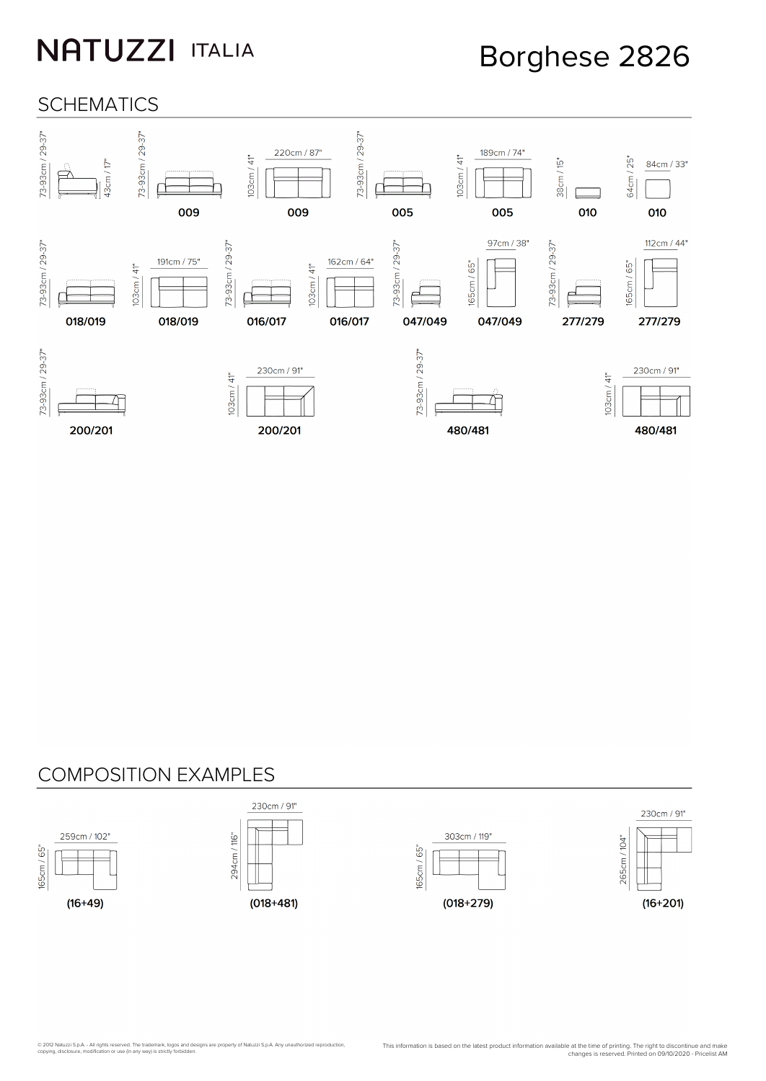### Borghese 2826

#### **SCHEMATICS**



#### COMPOSITION EXAMPLES